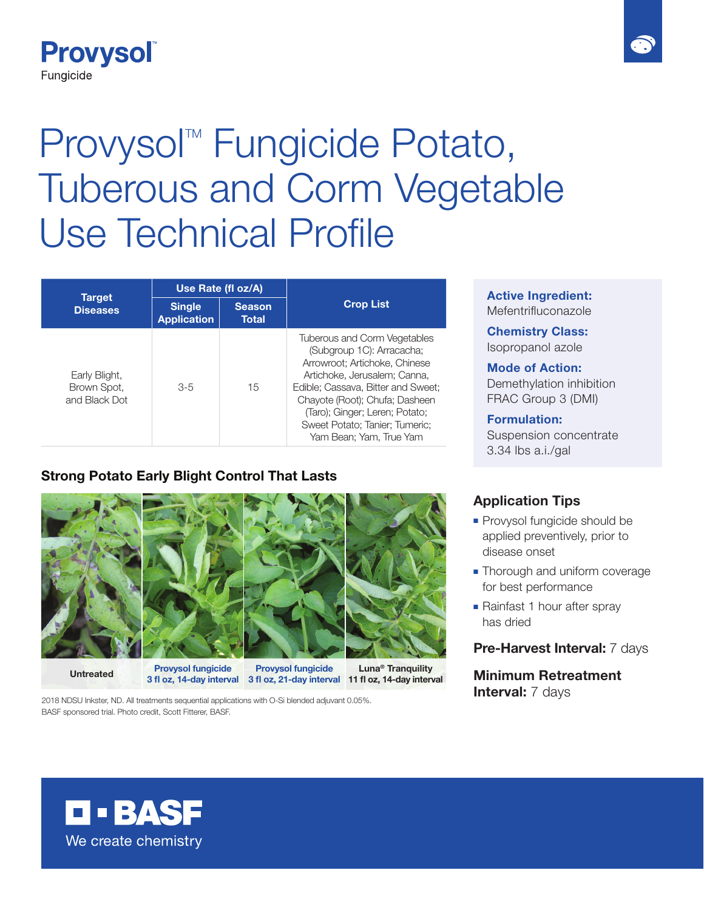

# Provysol<sup>™</sup> Fungicide Potato, Tuberous and Corm Vegetable Use Technical Profile

| Target<br><b>Diseases</b>                     | Use Rate (fl oz/A)                  |                               |                                                                                                                                                                                                                                                                                                          |
|-----------------------------------------------|-------------------------------------|-------------------------------|----------------------------------------------------------------------------------------------------------------------------------------------------------------------------------------------------------------------------------------------------------------------------------------------------------|
|                                               | <b>Single</b><br><b>Application</b> | <b>Season</b><br><b>Total</b> | <b>Crop List</b>                                                                                                                                                                                                                                                                                         |
| Early Blight,<br>Brown Spot,<br>and Black Dot | $3-5$                               | 15                            | <b>Tuberous and Corm Vegetables</b><br>(Subgroup 1C): Arracacha;<br>Arrowroot: Artichoke, Chinese<br>Artichoke, Jerusalem: Canna.<br>Edible; Cassava, Bitter and Sweet;<br>Chayote (Root); Chufa; Dasheen<br>(Taro); Ginger; Leren; Potato;<br>Sweet Potato; Tanier; Tumeric;<br>Yam Bean; Yam, True Yam |

### **Strong Potato Early Blight Control That Lasts**



**Provysol fungicide** 

**Untreated Luna® Tranquility 11 fl oz, 14-day interval 3 fl oz, 14-day interval 3 fl oz, 21-day interval Provysol fungicide** 

2018 NDSU Inkster, ND. All treatments sequential applications with O-Si blended adjuvant 0.05%. BASF sponsored trial. Photo credit, Scott Fitterer, BASF.

#### **Active Ingredient:** Mefentrifluconazole

**Chemistry Class:** Isopropanol azole

#### **Mode of Action:**

Demethylation inhibition FRAC Group 3 (DMI)

## **Formulation:**

Suspension concentrate 3.34 lbs a.i./gal

#### **Application Tips**

- Provysol fungicide should be applied preventively, prior to disease onset
- Thorough and uniform coverage for best performance
- Rainfast 1 hour after spray has dried

#### **Pre-Harvest Interval:** 7 days

**Minimum Retreatment Interval: 7 days**